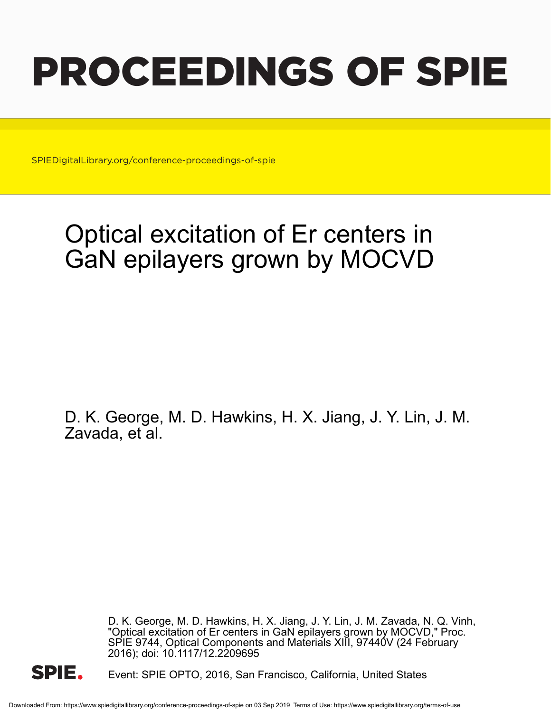# PROCEEDINGS OF SPIE

SPIEDigitalLibrary.org/conference-proceedings-of-spie

## Optical excitation of Er centers in GaN epilayers grown by MOCVD

D. K. George, M. D. Hawkins, H. X. Jiang, J. Y. Lin, J. M. Zavada, et al.

> D. K. George, M. D. Hawkins, H. X. Jiang, J. Y. Lin, J. M. Zavada, N. Q. Vinh, "Optical excitation of Er centers in GaN epilayers grown by MOCVD," Proc. SPIE 9744, Optical Components and Materials XIII, 97440V (24 February 2016); doi: 10.1117/12.2209695



Event: SPIE OPTO, 2016, San Francisco, California, United States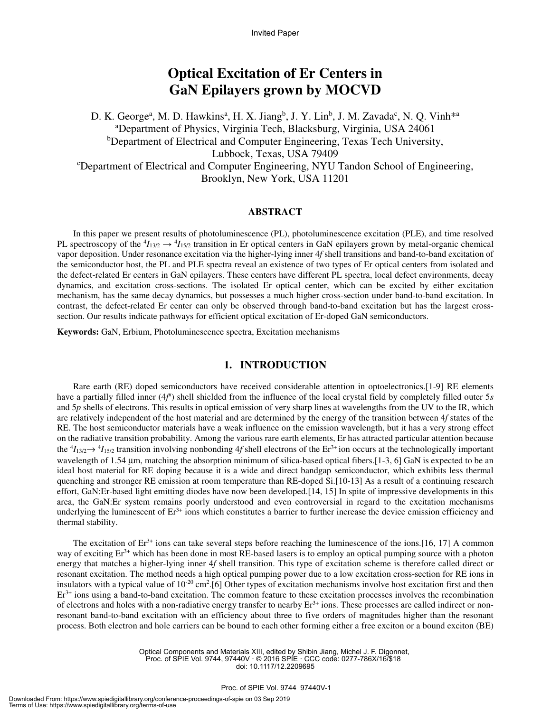Invited Paper

### **Optical Excitation of Er Centers in GaN Epilayers grown by MOCVD**

D. K. George<sup>a</sup>, M. D. Hawkins<sup>a</sup>, H. X. Jiang<sup>b</sup>, J. Y. Lin<sup>b</sup>, J. M. Zavada<sup>c</sup>, N. Q. Vinh<sup>\*a</sup> <sup>a</sup>Department of Physics, Virginia Tech, Blacksburg, Virginia, USA 24061 <sup>b</sup>Department of Electrical and Computer Engineering, Texas Tech University, Lubbock, Texas, USA 79409 <sup>c</sup>Department of Electrical and Computer Engineering, NYU Tandon School of Engineering, Brooklyn, New York, USA 11201

#### **ABSTRACT**

In this paper we present results of photoluminescence (PL), photoluminescence excitation (PLE), and time resolved PL spectroscopy of the  ${}^4I_{13/2} \rightarrow {}^4I_{15/2}$  transition in Er optical centers in GaN epilayers grown by metal-organic chemical vapor deposition. Under resonance excitation via the higher-lying inner 4*f* shell transitions and band-to-band excitation of the semiconductor host, the PL and PLE spectra reveal an existence of two types of Er optical centers from isolated and the defect-related Er centers in GaN epilayers. These centers have different PL spectra, local defect environments, decay dynamics, and excitation cross-sections. The isolated Er optical center, which can be excited by either excitation mechanism, has the same decay dynamics, but possesses a much higher cross-section under band-to-band excitation. In contrast, the defect-related Er center can only be observed through band-to-band excitation but has the largest crosssection. Our results indicate pathways for efficient optical excitation of Er-doped GaN semiconductors.

**Keywords:** GaN, Erbium, Photoluminescence spectra, Excitation mechanisms

#### **1. INTRODUCTION**

Rare earth (RE) doped semiconductors have received considerable attention in optoelectronics.[1-9] RE elements have a partially filled inner (4f<sup>n</sup>) shell shielded from the influence of the local crystal field by completely filled outer 5*s* and 5*p* shells of electrons. This results in optical emission of very sharp lines at wavelengths from the UV to the IR, which are relatively independent of the host material and are determined by the energy of the transition between 4*f* states of the RE. The host semiconductor materials have a weak influence on the emission wavelength, but it has a very strong effect on the radiative transition probability. Among the various rare earth elements, Er has attracted particular attention because the  ${}^4I_{13/2}$   $\rightarrow$   ${}^4I_{15/2}$  transition involving nonbonding 4*f* shell electrons of the Er<sup>3+</sup> ion occurs at the technologically important wavelength of 1.54  $\mu$ m, matching the absorption minimum of silica-based optical fibers.[1-3, 6] GaN is expected to be an ideal host material for RE doping because it is a wide and direct bandgap semiconductor, which exhibits less thermal quenching and stronger RE emission at room temperature than RE-doped Si.[10-13] As a result of a continuing research effort, GaN:Er-based light emitting diodes have now been developed.[14, 15] In spite of impressive developments in this area, the GaN:Er system remains poorly understood and even controversial in regard to the excitation mechanisms underlying the luminescent of  $Er^{3+}$  ions which constitutes a barrier to further increase the device emission efficiency and thermal stability.

The excitation of  $Er^{3+}$  ions can take several steps before reaching the luminescence of the ions.[16, 17] A common way of exciting Er<sup>3+</sup> which has been done in most RE-based lasers is to employ an optical pumping source with a photon energy that matches a higher-lying inner 4*f* shell transition. This type of excitation scheme is therefore called direct or resonant excitation. The method needs a high optical pumping power due to a low excitation cross-section for RE ions in insulators with a typical value of  $10^{-20}$  cm<sup>2</sup>.[6] Other types of excitation mechanisms involve host excitation first and then  $Er<sup>3+</sup>$  ions using a band-to-band excitation. The common feature to these excitation processes involves the recombination of electrons and holes with a non-radiative energy transfer to nearby  $Er<sup>3+</sup>$  ions. These processes are called indirect or nonresonant band-to-band excitation with an efficiency about three to five orders of magnitudes higher than the resonant process. Both electron and hole carriers can be bound to each other forming either a free exciton or a bound exciton (BE)

> Optical Components and Materials XIII, edited by Shibin Jiang, Michel J. F. Digonnet, Proc. of SPIE Vol. 9744, 97440V · © 2016 SPIE · CCC code: 0277-786X/16/\$18 doi: 10.1117/12.2209695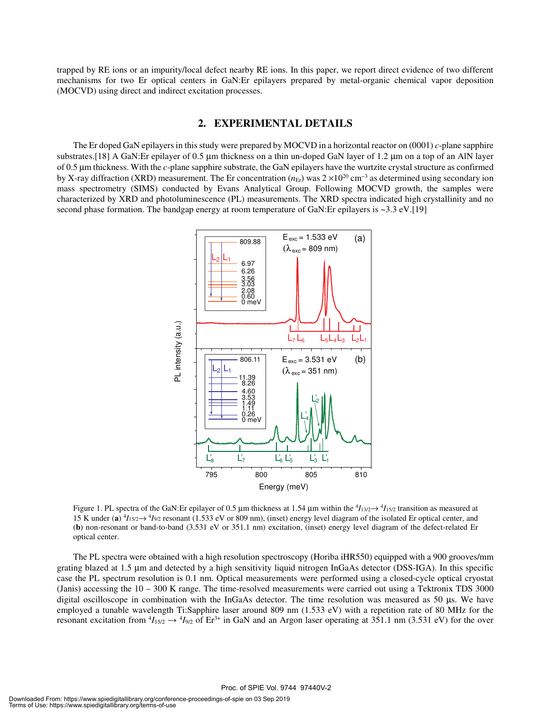trapped by RE ions or an impurity/local defect nearby RE ions. In this paper, we report direct evidence of two different mechanisms for two Er optical centers in GaN:Er epilayers prepared by metal-organic chemical vapor deposition (MOCVD) using direct and indirect excitation processes.

#### **2. EXPERIMENTAL DETAILS**

The Er doped GaN epilayers in this study were prepared by MOCVD in a horizontal reactor on (0001) *c*-plane sapphire substrates.[18] A GaN: Er epilayer of 0.5 µm thickness on a thin un-doped GaN layer of 1.2 µm on a top of an AlN layer of 0.5 µm thickness. With the *c*-plane sapphire substrate, the GaN epilayers have the wurtzite crystal structure as confirmed by X-ray diffraction (XRD) measurement. The Er concentration ( $n<sub>Er</sub>$ ) was 2 ×10<sup>20</sup> cm<sup>-3</sup> as determined using secondary ion mass spectrometry (SIMS) conducted by Evans Analytical Group. Following MOCVD growth, the samples were characterized by XRD and photoluminescence (PL) measurements. The XRD spectra indicated high crystallinity and no second phase formation. The bandgap energy at room temperature of GaN: Er epilayers is ~3.3 eV.[19]



Figure 1. PL spectra of the GaN: Er epilayer of 0.5  $\mu$ m thickness at 1.54  $\mu$ m within the  $\frac{4I_{13/2}}{2}$  transition as measured at 15 K under (**a**) <sup>4</sup> *I*15/2→ <sup>4</sup> *I*9/2 resonant (1.533 eV or 809 nm), (inset) energy level diagram of the isolated Er optical center, and (**b**) non-resonant or band-to-band (3.531 eV or 351.1 nm) excitation, (inset) energy level diagram of the defect-related Er optical center.

The PL spectra were obtained with a high resolution spectroscopy (Horiba iHR550) equipped with a 900 grooves/mm grating blazed at 1.5 µm and detected by a high sensitivity liquid nitrogen InGaAs detector (DSS-IGA). In this specific case the PL spectrum resolution is 0.1 nm. Optical measurements were performed using a closed-cycle optical cryostat (Janis) accessing the 10 – 300 K range. The time-resolved measurements were carried out using a Tektronix TDS 3000 digital oscilloscope in combination with the InGaAs detector. The time resolution was measured as 50 µs. We have employed a tunable wavelength Ti:Sapphire laser around 809 nm (1.533 eV) with a repetition rate of 80 MHz for the resonant excitation from  ${}^4I_{15/2} \rightarrow {}^4I_{9/2}$  of Er<sup>3+</sup> in GaN and an Argon laser operating at 351.1 nm (3.531 eV) for the over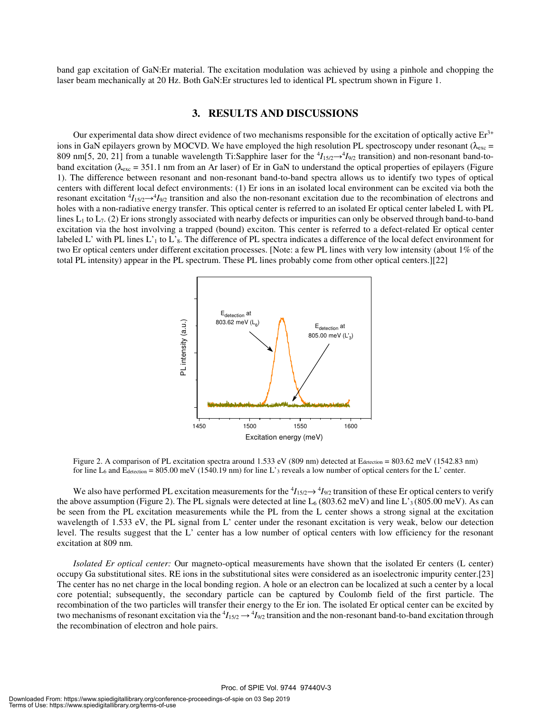band gap excitation of GaN:Er material. The excitation modulation was achieved by using a pinhole and chopping the laser beam mechanically at 20 Hz. Both GaN:Er structures led to identical PL spectrum shown in Figure 1.

#### **3. RESULTS AND DISCUSSIONS**

Our experimental data show direct evidence of two mechanisms responsible for the excitation of optically active  $Er<sup>3+</sup>$ ions in GaN epilayers grown by MOCVD. We have employed the high resolution PL spectroscopy under resonant ( $\lambda_{\rm exc}$  = 809 nm[5, 20, 21] from a tunable wavelength Ti:Sapphire laser for the  ${}^4I_{15/2} \rightarrow {}^4I_{9/2}$  transition) and non-resonant band-toband excitation ( $\lambda_{\text{exc}} = 351.1$  nm from an Ar laser) of Er in GaN to understand the optical properties of epilayers (Figure 1). The difference between resonant and non-resonant band-to-band spectra allows us to identify two types of optical centers with different local defect environments: (1) Er ions in an isolated local environment can be excited via both the resonant excitation  ${}^4I_{15/2} \rightarrow {}^4I_{9/2}$  transition and also the non-resonant excitation due to the recombination of electrons and holes with a non-radiative energy transfer. This optical center is referred to an isolated Er optical center labeled L with PL lines  $L_1$  to  $L_7$ . (2) Er ions strongly associated with nearby defects or impurities can only be observed through band-to-band excitation via the host involving a trapped (bound) exciton. This center is referred to a defect-related Er optical center labeled L' with PL lines  $L'_{1}$  to  $L'_{8}$ . The difference of PL spectra indicates a difference of the local defect environment for two Er optical centers under different excitation processes. [Note: a few PL lines with very low intensity (about 1% of the total PL intensity) appear in the PL spectrum. These PL lines probably come from other optical centers.][22]



Figure 2. A comparison of PL excitation spectra around 1.533 eV (809 nm) detected at Edetection = 803.62 meV (1542.83 nm) for line  $L_6$  and  $E_{\text{detection}} = 805.00 \text{ meV}$  (1540.19 nm) for line L'<sub>3</sub> reveals a low number of optical centers for the L' center.

We also have performed PL excitation measurements for the  ${}^4I_{15/2} \rightarrow {}^4I_{9/2}$  transition of these Er optical centers to verify the above assumption (Figure 2). The PL signals were detected at line  $L_6$  (803.62 meV) and line L'<sub>3</sub> (805.00 meV). As can be seen from the PL excitation measurements while the PL from the L center shows a strong signal at the excitation wavelength of 1.533 eV, the PL signal from L' center under the resonant excitation is very weak, below our detection level. The results suggest that the L' center has a low number of optical centers with low efficiency for the resonant excitation at 809 nm.

*Isolated Er optical center:* Our magneto-optical measurements have shown that the isolated Er centers (L center) occupy Ga substitutional sites. RE ions in the substitutional sites were considered as an isoelectronic impurity center.[23] The center has no net charge in the local bonding region. A hole or an electron can be localized at such a center by a local core potential; subsequently, the secondary particle can be captured by Coulomb field of the first particle. The recombination of the two particles will transfer their energy to the Er ion. The isolated Er optical center can be excited by two mechanisms of resonant excitation via the  $^4I_{15/2} \rightarrow ^4I_{9/2}$  transition and the non-resonant band-to-band excitation through the recombination of electron and hole pairs.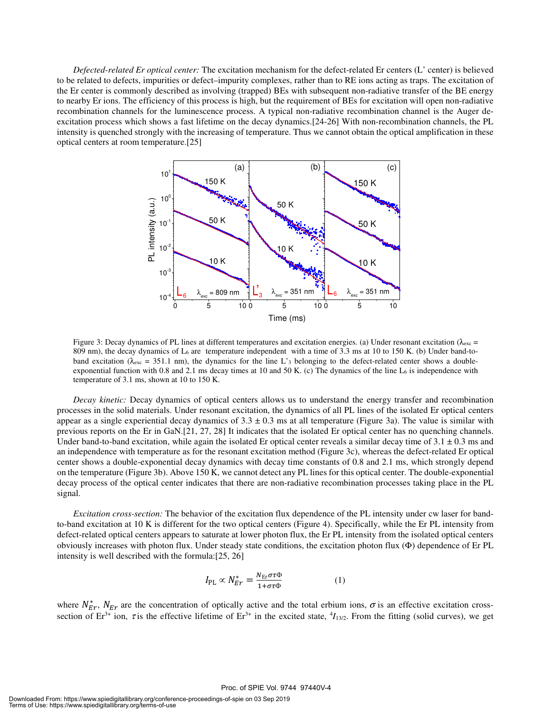*Defected-related Er optical center:* The excitation mechanism for the defect-related Er centers (L' center) is believed to be related to defects, impurities or defect–impurity complexes, rather than to RE ions acting as traps. The excitation of the Er center is commonly described as involving (trapped) BEs with subsequent non-radiative transfer of the BE energy to nearby Er ions. The efficiency of this process is high, but the requirement of BEs for excitation will open non-radiative recombination channels for the luminescence process. A typical non-radiative recombination channel is the Auger deexcitation process which shows a fast lifetime on the decay dynamics.[24-26] With non-recombination channels, the PL intensity is quenched strongly with the increasing of temperature. Thus we cannot obtain the optical amplification in these optical centers at room temperature.[25]



Figure 3: Decay dynamics of PL lines at different temperatures and excitation energies. (a) Under resonant excitation ( $\lambda_{\text{exc}}$  = 809 nm), the decay dynamics of  $L_6$  are temperature independent with a time of 3.3 ms at 10 to 150 K. (b) Under band-toband excitation ( $\lambda_{\text{exc}}$  = 351.1 nm), the dynamics for the line L'<sub>3</sub> belonging to the defect-related center shows a doubleexponential function with 0.8 and 2.1 ms decay times at 10 and 50 K. (c) The dynamics of the line L $_6$  is independence with temperature of 3.1 ms, shown at 10 to 150 K.

*Decay kinetic:* Decay dynamics of optical centers allows us to understand the energy transfer and recombination processes in the solid materials. Under resonant excitation, the dynamics of all PL lines of the isolated Er optical centers appear as a single experiential decay dynamics of  $3.3 \pm 0.3$  ms at all temperature (Figure 3a). The value is similar with previous reports on the Er in GaN.[21, 27, 28] It indicates that the isolated Er optical center has no quenching channels. Under band-to-band excitation, while again the isolated Er optical center reveals a similar decay time of  $3.1 \pm 0.3$  ms and an independence with temperature as for the resonant excitation method (Figure 3c), whereas the defect-related Er optical center shows a double-exponential decay dynamics with decay time constants of 0.8 and 2.1 ms, which strongly depend on the temperature (Figure 3b). Above 150 K, we cannot detect any PL lines for this optical center. The double-exponential decay process of the optical center indicates that there are non-radiative recombination processes taking place in the PL signal.

*Excitation cross-section:* The behavior of the excitation flux dependence of the PL intensity under cw laser for bandto-band excitation at 10 K is different for the two optical centers (Figure 4). Specifically, while the Er PL intensity from defect-related optical centers appears to saturate at lower photon flux, the Er PL intensity from the isolated optical centers obviously increases with photon flux. Under steady state conditions, the excitation photon flux (Φ) dependence of Er PL intensity is well described with the formula:[25, 26]

$$
I_{\rm PL} \propto N_{Er}^* = \frac{N_{\rm Er} \sigma \tau \Phi}{1 + \sigma \tau \Phi} \tag{1}
$$

where  $N_{Er}^*$ ,  $N_{Er}$  are the concentration of optically active and the total erbium ions,  $\sigma$  is an effective excitation crosssection of  $Er^{3+}$  ion,  $\tau$  is the effective lifetime of  $Er^{3+}$  in the excited state,  $\frac{4I_{13/2}}{I_{13/2}}$ . From the fitting (solid curves), we get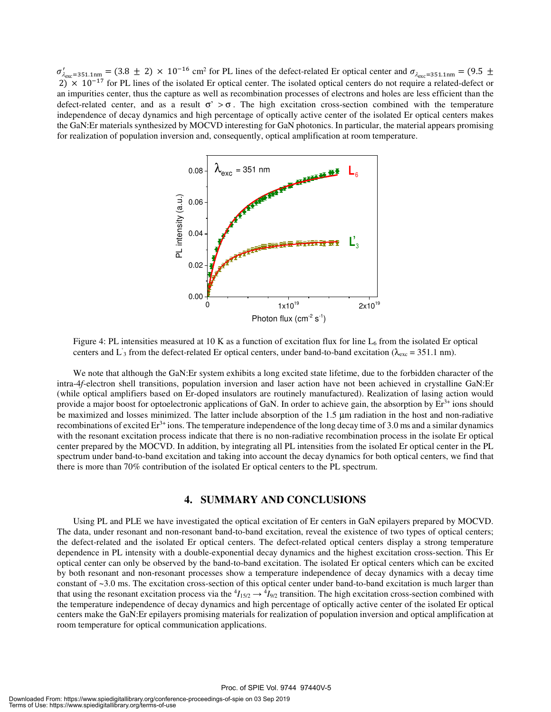$\sigma'_{\lambda_{\text{exc}}=351.1 \text{nm}} = (3.8 \pm 2) \times 10^{-16} \text{ cm}^2 \text{ for PL lines of the defect-related Er optical center and } \sigma_{\lambda_{\text{exc}}=351.1 \text{nm}} = (9.5 \pm 10^{-16} \text{ cm}^2 \text{ for PL lines of the defect-related Er optical center and } \sigma_{\lambda_{\text{exc}}=351.1 \text{nm}} = (9.5 \pm 10^{-16} \text{ cm}^2 \text{ for PL lines of the defect-related Er optical center and } \sigma_{\lambda_{\text{exc}}=351.1 \text{nm}} = (9.5 \pm 10^{-16} \text{ cm$  $2) \times 10^{-17}$  for PL lines of the isolated Er optical center. The isolated optical centers do not require a related-defect or an impurities center, thus the capture as well as recombination processes of electrons and holes are less efficient than the defect-related center, and as a result  $\sigma' > \sigma$ . The high excitation cross-section combined with the temperature independence of decay dynamics and high percentage of optically active center of the isolated Er optical centers makes the GaN:Er materials synthesized by MOCVD interesting for GaN photonics. In particular, the material appears promising for realization of population inversion and, consequently, optical amplification at room temperature.



Figure 4: PL intensities measured at 10 K as a function of excitation flux for line  $L_6$  from the isolated Er optical centers and L'<sub>3</sub> from the defect-related Er optical centers, under band-to-band excitation ( $\lambda_{\text{exc}}$  = 351.1 nm).

We note that although the GaN:Er system exhibits a long excited state lifetime, due to the forbidden character of the intra-4*f*-electron shell transitions, population inversion and laser action have not been achieved in crystalline GaN:Er (while optical amplifiers based on Er-doped insulators are routinely manufactured). Realization of lasing action would provide a major boost for optoelectronic applications of GaN. In order to achieve gain, the absorption by  $Er^{3+}$  ions should be maximized and losses minimized. The latter include absorption of the 1.5 µm radiation in the host and non-radiative recombinations of excited  $Er<sup>3+</sup>$  ions. The temperature independence of the long decay time of 3.0 ms and a similar dynamics with the resonant excitation process indicate that there is no non-radiative recombination process in the isolate Er optical center prepared by the MOCVD. In addition, by integrating all PL intensities from the isolated Er optical center in the PL spectrum under band-to-band excitation and taking into account the decay dynamics for both optical centers, we find that there is more than 70% contribution of the isolated Er optical centers to the PL spectrum.

#### **4. SUMMARY AND CONCLUSIONS**

Using PL and PLE we have investigated the optical excitation of Er centers in GaN epilayers prepared by MOCVD. The data, under resonant and non-resonant band-to-band excitation, reveal the existence of two types of optical centers; the defect-related and the isolated Er optical centers. The defect-related optical centers display a strong temperature dependence in PL intensity with a double-exponential decay dynamics and the highest excitation cross-section. This Er optical center can only be observed by the band-to-band excitation. The isolated Er optical centers which can be excited by both resonant and non-resonant processes show a temperature independence of decay dynamics with a decay time constant of ~3.0 ms. The excitation cross-section of this optical center under band-to-band excitation is much larger than that using the resonant excitation process via the  ${}^4I_{15/2} \rightarrow {}^4I_{9/2}$  transition. The high excitation cross-section combined with the temperature independence of decay dynamics and high percentage of optically active center of the isolated Er optical centers make the GaN:Er epilayers promising materials for realization of population inversion and optical amplification at room temperature for optical communication applications.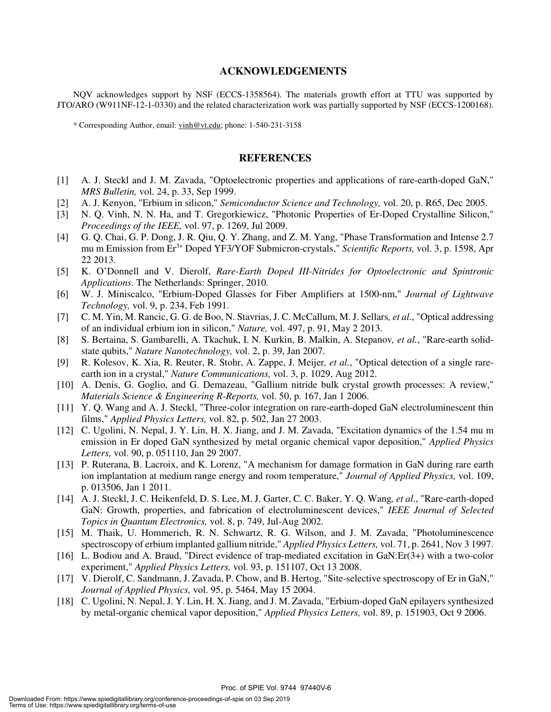#### **ACKNOWLEDGEMENTS**

NQV acknowledges support by NSF (ECCS-1358564). The materials growth effort at TTU was supported by JTO/ARO (W911NF-12-1-0330) and the related characterization work was partially supported by NSF (ECCS-1200168).

\* Corresponding Author, email: vinh@vt.edu; phone: 1-540-231-3158

#### **REFERENCES**

- [1] A. J. Steckl and J. M. Zavada, "Optoelectronic properties and applications of rare-earth-doped GaN," *MRS Bulletin,* vol. 24, p. 33, Sep 1999.
- [2] A. J. Kenyon, "Erbium in silicon," *Semiconductor Science and Technology,* vol. 20, p. R65, Dec 2005.
- [3] N. Q. Vinh, N. N. Ha, and T. Gregorkiewicz, "Photonic Properties of Er-Doped Crystalline Silicon," *Proceedings of the IEEE,* vol. 97, p. 1269, Jul 2009.
- [4] G. Q. Chai, G. P. Dong, J. R. Qiu, Q. Y. Zhang, and Z. M. Yang, "Phase Transformation and Intense 2.7 mu m Emission from Er<sup>3+</sup> Doped YF3/YOF Submicron-crystals," *Scientific Reports*, vol. 3, p. 1598, Apr 22 2013.
- [5] K. O'Donnell and V. Dierolf, *Rare-Earth Doped III-Nitrides for Optoelectronic and Spintronic Applications*. The Netherlands: Springer, 2010.
- [6] W. J. Miniscalco, "Erbium-Doped Glasses for Fiber Amplifiers at 1500-nm," *Journal of Lightwave Technology,* vol. 9, p. 234, Feb 1991.
- [7] C. M. Yin, M. Rancic, G. G. de Boo, N. Stavrias, J. C. McCallum, M. J. Sellars*, et al.*, "Optical addressing of an individual erbium ion in silicon," *Nature,* vol. 497, p. 91, May 2 2013.
- [8] S. Bertaina, S. Gambarelli, A. Tkachuk, I. N. Kurkin, B. Malkin, A. Stepanov*, et al.*, "Rare-earth solidstate qubits," *Nature Nanotechnology,* vol. 2, p. 39, Jan 2007.
- [9] R. Kolesov, K. Xia, R. Reuter, R. Stohr, A. Zappe, J. Meijer*, et al.*, "Optical detection of a single rareearth ion in a crystal," *Nature Communications,* vol. 3, p. 1029, Aug 2012.
- [10] A. Denis, G. Goglio, and G. Demazeau, "Gallium nitride bulk crystal growth processes: A review," *Materials Science & Engineering R-Reports,* vol. 50, p. 167, Jan 1 2006.
- [11] Y. Q. Wang and A. J. Steckl, "Three-color integration on rare-earth-doped GaN electroluminescent thin films," *Applied Physics Letters,* vol. 82, p. 502, Jan 27 2003.
- [12] C. Ugolini, N. Nepal, J. Y. Lin, H. X. Jiang, and J. M. Zavada, "Excitation dynamics of the 1.54 mu m emission in Er doped GaN synthesized by metal organic chemical vapor deposition," *Applied Physics Letters,* vol. 90, p. 051110, Jan 29 2007.
- [13] P. Ruterana, B. Lacroix, and K. Lorenz, "A mechanism for damage formation in GaN during rare earth ion implantation at medium range energy and room temperature," *Journal of Applied Physics,* vol. 109, p. 013506, Jan 1 2011.
- [14] A. J. Steckl, J. C. Heikenfeld, D. S. Lee, M. J. Garter, C. C. Baker, Y. Q. Wang*, et al.*, "Rare-earth-doped GaN: Growth, properties, and fabrication of electroluminescent devices," *IEEE Journal of Selected Topics in Quantum Electronics,* vol. 8, p. 749, Jul-Aug 2002.
- [15] M. Thaik, U. Hommerich, R. N. Schwartz, R. G. Wilson, and J. M. Zavada, "Photoluminescence spectroscopy of erbium implanted gallium nitride," *Applied Physics Letters,* vol. 71, p. 2641, Nov 3 1997.
- [16] L. Bodiou and A. Braud, "Direct evidence of trap-mediated excitation in GaN:Er(3+) with a two-color experiment," *Applied Physics Letters,* vol. 93, p. 151107, Oct 13 2008.
- [17] V. Dierolf, C. Sandmann, J. Zavada, P. Chow, and B. Hertog, "Site-selective spectroscopy of Er in GaN," *Journal of Applied Physics,* vol. 95, p. 5464, May 15 2004.
- [18] C. Ugolini, N. Nepal, J. Y. Lin, H. X. Jiang, and J. M. Zavada, "Erbium-doped GaN epilayers synthesized by metal-organic chemical vapor deposition," *Applied Physics Letters,* vol. 89, p. 151903, Oct 9 2006.